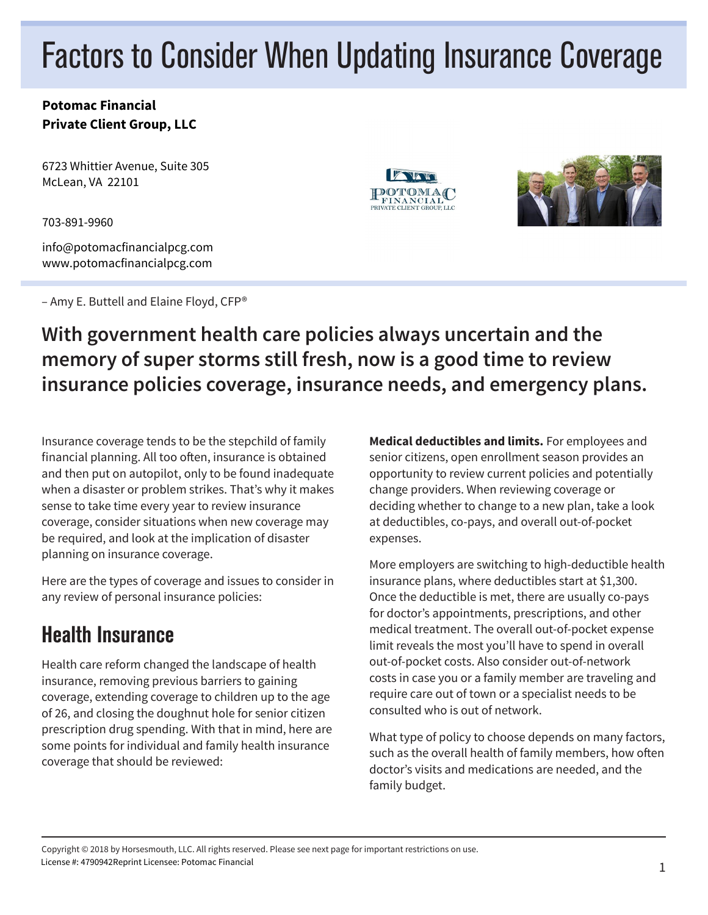# Factors to Consider When Updating Insurance Coverage

#### **Potomac Financial Private Client Group, LLC**

6723 Whittier Avenue, Suite 305 McLean, VA 22101

703-891-9960

info@potomacfinancialpcg.com www.potomacfinancialpcg.com

– Amy E. Buttell and Elaine Floyd, CFP®





#### **With government health care policies always uncertain and the memory of super storms still fresh, now is a good time to review insurance policies coverage, insurance needs, and emergency plans.**

Insurance coverage tends to be the stepchild of family financial planning. All too often, insurance is obtained and then put on autopilot, only to be found inadequate when a disaster or problem strikes. That's why it makes sense to take time every year to review insurance coverage, consider situations when new coverage may be required, and look at the implication of disaster planning on insurance coverage.

Here are the types of coverage and issues to consider in any review of personal insurance policies:

#### Health Insurance

Health care reform changed the landscape of health insurance, removing previous barriers to gaining coverage, extending coverage to children up to the age of 26, and closing the doughnut hole for senior citizen prescription drug spending. With that in mind, here are some points for individual and family health insurance coverage that should be reviewed:

**Medical deductibles and limits.** For employees and senior citizens, open enrollment season provides an opportunity to review current policies and potentially change providers. When reviewing coverage or deciding whether to change to a new plan, take a look at deductibles, co-pays, and overall out-of-pocket expenses.

More employers are switching to high-deductible health insurance plans, where deductibles start at \$1,300. Once the deductible is met, there are usually co-pays for doctor's appointments, prescriptions, and other medical treatment. The overall out-of-pocket expense limit reveals the most you'll have to spend in overall out-of-pocket costs. Also consider out-of-network costs in case you or a family member are traveling and require care out of town or a specialist needs to be consulted who is out of network.

What type of policy to choose depends on many factors, such as the overall health of family members, how often doctor's visits and medications are needed, and the family budget.

Copyright © 2018 by Horsesmouth, LLC. All rights reserved. Please see next page for important restrictions on use. License #: 4790942Reprint Licensee: Potomac Financial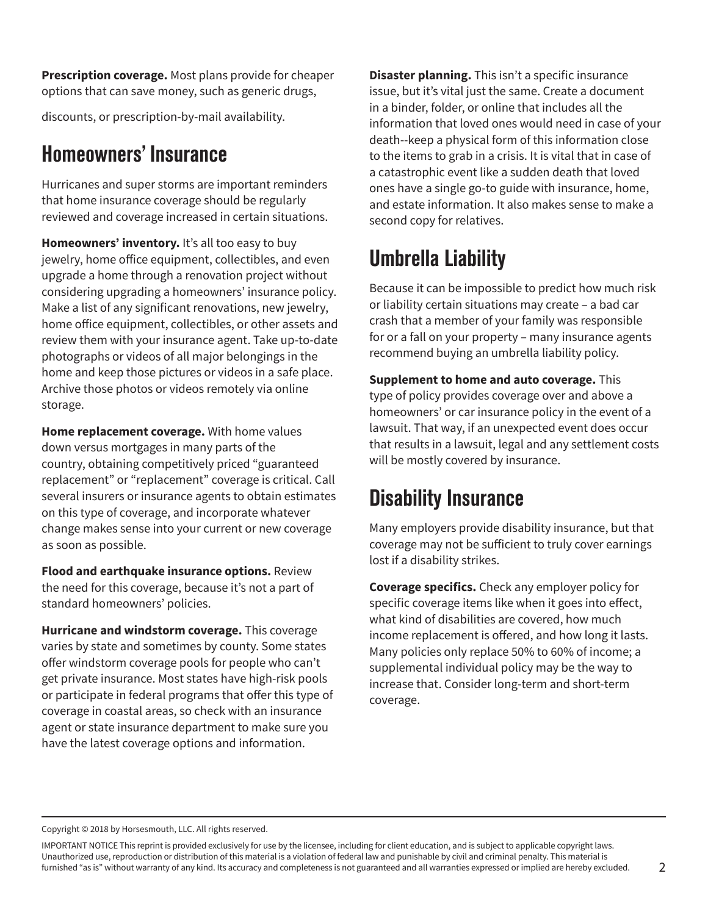**Prescription coverage.** Most plans provide for cheaper options that can save money, such as generic drugs,

discounts, or prescription-by-mail availability.

#### Homeowners' Insurance

Hurricanes and super storms are important reminders that home insurance coverage should be regularly reviewed and coverage increased in certain situations.

**Homeowners' inventory.** It's all too easy to buy jewelry, home office equipment, collectibles, and even upgrade a home through a renovation project without considering upgrading a homeowners' insurance policy. Make a list of any significant renovations, new jewelry, home office equipment, collectibles, or other assets and review them with your insurance agent. Take up-to-date photographs or videos of all major belongings in the home and keep those pictures or videos in a safe place. Archive those photos or videos remotely via online storage.

**Home replacement coverage.** With home values down versus mortgages in many parts of the country, obtaining competitively priced "guaranteed replacement" or "replacement" coverage is critical. Call several insurers or insurance agents to obtain estimates on this type of coverage, and incorporate whatever change makes sense into your current or new coverage as soon as possible.

**Flood and earthquake insurance options.** Review the need for this coverage, because it's not a part of standard homeowners' policies.

**Hurricane and windstorm coverage.** This coverage varies by state and sometimes by county. Some states offer windstorm coverage pools for people who can't get private insurance. Most states have high-risk pools or participate in federal programs that offer this type of coverage in coastal areas, so check with an insurance agent or state insurance department to make sure you have the latest coverage options and information.

**Disaster planning.** This isn't a specific insurance issue, but it's vital just the same. Create a document in a binder, folder, or online that includes all the information that loved ones would need in case of your death--keep a physical form of this information close to the items to grab in a crisis. It is vital that in case of a catastrophic event like a sudden death that loved ones have a single go-to guide with insurance, home, and estate information. It also makes sense to make a second copy for relatives.

### Umbrella Liability

Because it can be impossible to predict how much risk or liability certain situations may create – a bad car crash that a member of your family was responsible for or a fall on your property – many insurance agents recommend buying an umbrella liability policy.

**Supplement to home and auto coverage.** This type of policy provides coverage over and above a homeowners' or car insurance policy in the event of a lawsuit. That way, if an unexpected event does occur that results in a lawsuit, legal and any settlement costs will be mostly covered by insurance.

#### Disability Insurance

Many employers provide disability insurance, but that coverage may not be sufficient to truly cover earnings lost if a disability strikes.

**Coverage specifics.** Check any employer policy for specific coverage items like when it goes into effect, what kind of disabilities are covered, how much income replacement is offered, and how long it lasts. Many policies only replace 50% to 60% of income; a supplemental individual policy may be the way to increase that. Consider long-term and short-term coverage.

Copyright © 2018 by Horsesmouth, LLC. All rights reserved.

IMPORTANT NOTICE This reprint is provided exclusively for use by the licensee, including for client education, and is subject to applicable copyright laws. Unauthorized use, reproduction or distribution of this material is a violation of federal law and punishable by civil and criminal penalty. This material is furnished "as is" without warranty of any kind. Its accuracy and completeness is not guaranteed and all warranties expressed or implied are hereby excluded.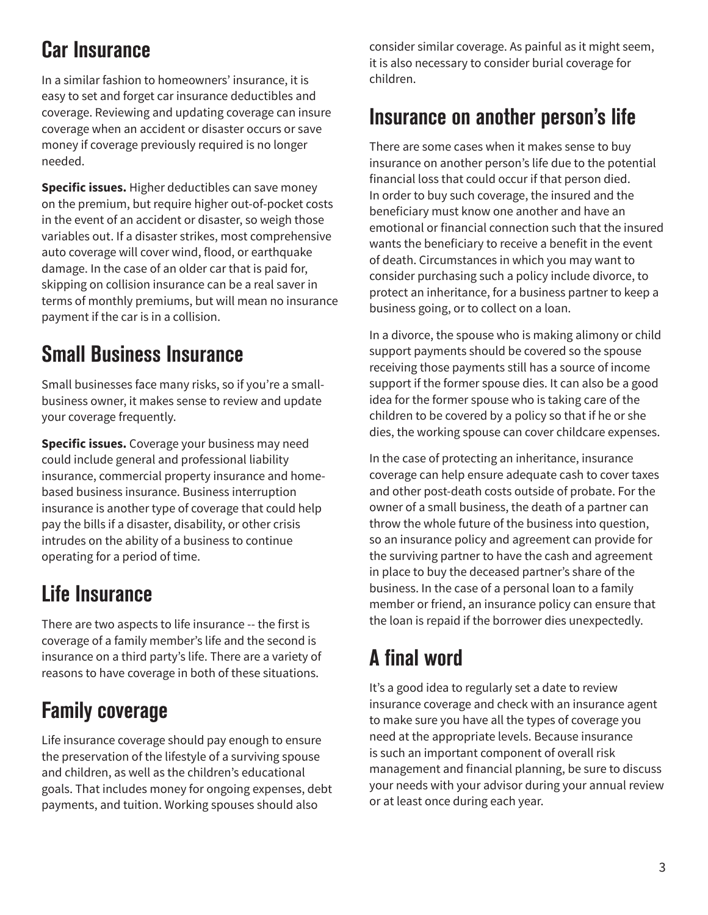#### Car Insurance

In a similar fashion to homeowners' insurance, it is easy to set and forget car insurance deductibles and coverage. Reviewing and updating coverage can insure coverage when an accident or disaster occurs or save money if coverage previously required is no longer needed.

**Specific issues.** Higher deductibles can save money on the premium, but require higher out-of-pocket costs in the event of an accident or disaster, so weigh those variables out. If a disaster strikes, most comprehensive auto coverage will cover wind, flood, or earthquake damage. In the case of an older car that is paid for, skipping on collision insurance can be a real saver in terms of monthly premiums, but will mean no insurance payment if the car is in a collision.

#### Small Business Insurance

Small businesses face many risks, so if you're a smallbusiness owner, it makes sense to review and update your coverage frequently.

**Specific issues.** Coverage your business may need could include general and professional liability insurance, commercial property insurance and homebased business insurance. Business interruption insurance is another type of coverage that could help pay the bills if a disaster, disability, or other crisis intrudes on the ability of a business to continue operating for a period of time.

#### Life Insurance

There are two aspects to life insurance -- the first is coverage of a family member's life and the second is insurance on a third party's life. There are a variety of reasons to have coverage in both of these situations.

#### Family coverage

Life insurance coverage should pay enough to ensure the preservation of the lifestyle of a surviving spouse and children, as well as the children's educational goals. That includes money for ongoing expenses, debt payments, and tuition. Working spouses should also

consider similar coverage. As painful as it might seem, it is also necessary to consider burial coverage for children.

#### Insurance on another person's life

There are some cases when it makes sense to buy insurance on another person's life due to the potential financial loss that could occur if that person died. In order to buy such coverage, the insured and the beneficiary must know one another and have an emotional or financial connection such that the insured wants the beneficiary to receive a benefit in the event of death. Circumstances in which you may want to consider purchasing such a policy include divorce, to protect an inheritance, for a business partner to keep a business going, or to collect on a loan.

In a divorce, the spouse who is making alimony or child support payments should be covered so the spouse receiving those payments still has a source of income support if the former spouse dies. It can also be a good idea for the former spouse who is taking care of the children to be covered by a policy so that if he or she dies, the working spouse can cover childcare expenses.

In the case of protecting an inheritance, insurance coverage can help ensure adequate cash to cover taxes and other post-death costs outside of probate. For the owner of a small business, the death of a partner can throw the whole future of the business into question, so an insurance policy and agreement can provide for the surviving partner to have the cash and agreement in place to buy the deceased partner's share of the business. In the case of a personal loan to a family member or friend, an insurance policy can ensure that the loan is repaid if the borrower dies unexpectedly.

## A final word

It's a good idea to regularly set a date to review insurance coverage and check with an insurance agent to make sure you have all the types of coverage you need at the appropriate levels. Because insurance is such an important component of overall risk management and financial planning, be sure to discuss your needs with your advisor during your annual review or at least once during each year.